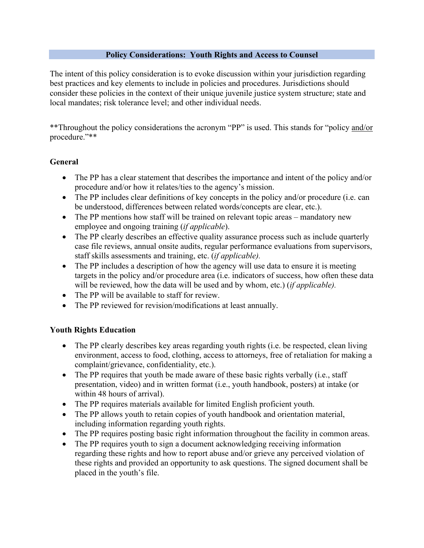#### **Policy Considerations: Youth Rights and Access to Counsel**

The intent of this policy consideration is to evoke discussion within your jurisdiction regarding best practices and key elements to include in policies and procedures. Jurisdictions should consider these policies in the context of their unique juvenile justice system structure; state and local mandates; risk tolerance level; and other individual needs.

\*\*Throughout the policy considerations the acronym "PP" is used. This stands for "policy and/or procedure."\*\*

#### **General**

- The PP has a clear statement that describes the importance and intent of the policy and/or procedure and/or how it relates/ties to the agency's mission.
- The PP includes clear definitions of key concepts in the policy and/or procedure (i.e. can be understood, differences between related words/concepts are clear, etc.).
- The PP mentions how staff will be trained on relevant topic areas mandatory new employee and ongoing training (*if applicable*).
- The PP clearly describes an effective quality assurance process such as include quarterly case file reviews, annual onsite audits, regular performance evaluations from supervisors, staff skills assessments and training, etc. (*if applicable).*
- The PP includes a description of how the agency will use data to ensure it is meeting targets in the policy and/or procedure area (i.e. indicators of success, how often these data will be reviewed, how the data will be used and by whom, etc.) (*if applicable).*
- The PP will be available to staff for review.
- The PP reviewed for revision/modifications at least annually.

## **Youth Rights Education**

- The PP clearly describes key areas regarding youth rights (i.e. be respected, clean living environment, access to food, clothing, access to attorneys, free of retaliation for making a complaint/grievance, confidentiality, etc.).
- The PP requires that youth be made aware of these basic rights verbally (i.e., staff presentation, video) and in written format (i.e., youth handbook, posters) at intake (or within 48 hours of arrival).
- The PP requires materials available for limited English proficient youth.
- The PP allows youth to retain copies of youth handbook and orientation material, including information regarding youth rights.
- The PP requires posting basic right information throughout the facility in common areas.
- The PP requires youth to sign a document acknowledging receiving information regarding these rights and how to report abuse and/or grieve any perceived violation of these rights and provided an opportunity to ask questions. The signed document shall be placed in the youth's file.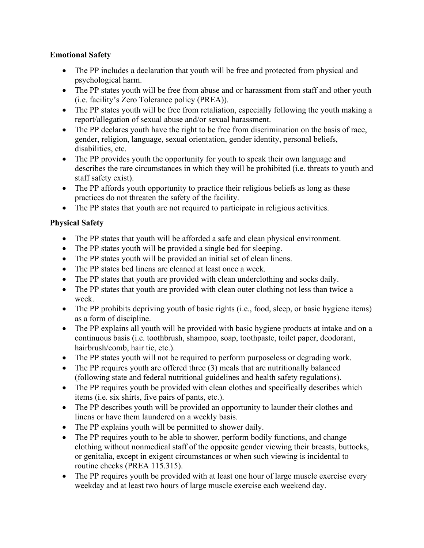#### **Emotional Safety**

- The PP includes a declaration that youth will be free and protected from physical and psychological harm.
- The PP states youth will be free from abuse and or harassment from staff and other youth (i.e. facility's Zero Tolerance policy (PREA)).
- The PP states youth will be free from retaliation, especially following the youth making a report/allegation of sexual abuse and/or sexual harassment.
- The PP declares youth have the right to be free from discrimination on the basis of race, gender, religion, language, sexual orientation, gender identity, personal beliefs, disabilities, etc.
- The PP provides youth the opportunity for youth to speak their own language and describes the rare circumstances in which they will be prohibited (i.e. threats to youth and staff safety exist).
- The PP affords youth opportunity to practice their religious beliefs as long as these practices do not threaten the safety of the facility.
- The PP states that youth are not required to participate in religious activities.

# **Physical Safety**

- The PP states that youth will be afforded a safe and clean physical environment.
- The PP states youth will be provided a single bed for sleeping.
- The PP states youth will be provided an initial set of clean linens.
- The PP states bed linens are cleaned at least once a week.
- The PP states that youth are provided with clean underclothing and socks daily.
- The PP states that youth are provided with clean outer clothing not less than twice a week.
- The PP prohibits depriving youth of basic rights (i.e., food, sleep, or basic hygiene items) as a form of discipline.
- The PP explains all youth will be provided with basic hygiene products at intake and on a continuous basis (i.e. toothbrush, shampoo, soap, toothpaste, toilet paper, deodorant, hairbrush/comb, hair tie, etc.).
- The PP states youth will not be required to perform purposeless or degrading work.
- The PP requires youth are offered three (3) meals that are nutritionally balanced (following state and federal nutritional guidelines and health safety regulations).
- The PP requires youth be provided with clean clothes and specifically describes which items (i.e. six shirts, five pairs of pants, etc.).
- The PP describes youth will be provided an opportunity to launder their clothes and linens or have them laundered on a weekly basis.
- The PP explains youth will be permitted to shower daily.
- The PP requires youth to be able to shower, perform bodily functions, and change clothing without nonmedical staff of the opposite gender viewing their breasts, buttocks, or genitalia, except in exigent circumstances or when such viewing is incidental to routine checks (PREA 115.315).
- The PP requires youth be provided with at least one hour of large muscle exercise every weekday and at least two hours of large muscle exercise each weekend day.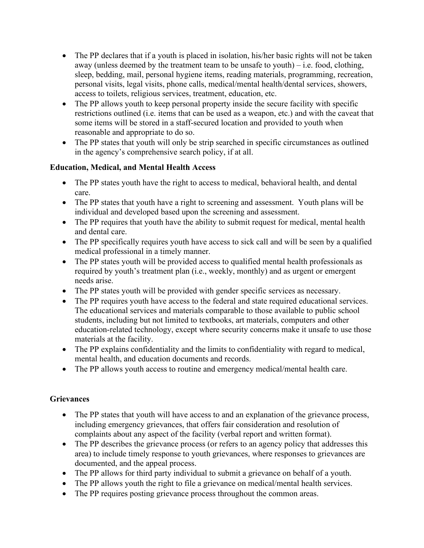- The PP declares that if a youth is placed in isolation, his/her basic rights will not be taken away (unless deemed by the treatment team to be unsafe to youth) – i.e. food, clothing, sleep, bedding, mail, personal hygiene items, reading materials, programming, recreation, personal visits, legal visits, phone calls, medical/mental health/dental services, showers, access to toilets, religious services, treatment, education, etc.
- The PP allows youth to keep personal property inside the secure facility with specific restrictions outlined (i.e. items that can be used as a weapon, etc.) and with the caveat that some items will be stored in a staff-secured location and provided to youth when reasonable and appropriate to do so.
- The PP states that youth will only be strip searched in specific circumstances as outlined in the agency's comprehensive search policy, if at all.

## **Education, Medical, and Mental Health Access**

- The PP states youth have the right to access to medical, behavioral health, and dental care.
- The PP states that youth have a right to screening and assessment. Youth plans will be individual and developed based upon the screening and assessment.
- The PP requires that youth have the ability to submit request for medical, mental health and dental care.
- The PP specifically requires youth have access to sick call and will be seen by a qualified medical professional in a timely manner.
- The PP states youth will be provided access to qualified mental health professionals as required by youth's treatment plan (i.e., weekly, monthly) and as urgent or emergent needs arise.
- The PP states youth will be provided with gender specific services as necessary.
- The PP requires youth have access to the federal and state required educational services. The educational services and materials comparable to those available to public school students, including but not limited to textbooks, art materials, computers and other education-related technology, except where security concerns make it unsafe to use those materials at the facility.
- The PP explains confidentiality and the limits to confidentiality with regard to medical, mental health, and education documents and records.
- The PP allows youth access to routine and emergency medical/mental health care.

## **Grievances**

- The PP states that youth will have access to and an explanation of the grievance process, including emergency grievances, that offers fair consideration and resolution of complaints about any aspect of the facility (verbal report and written format).
- The PP describes the grievance process (or refers to an agency policy that addresses this area) to include timely response to youth grievances, where responses to grievances are documented, and the appeal process.
- The PP allows for third party individual to submit a grievance on behalf of a youth.
- The PP allows youth the right to file a grievance on medical/mental health services.
- The PP requires posting grievance process throughout the common areas.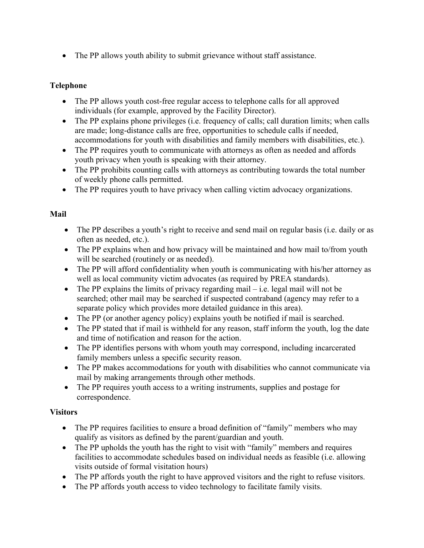• The PP allows youth ability to submit grievance without staff assistance.

#### **Telephone**

- The PP allows youth cost-free regular access to telephone calls for all approved individuals (for example, approved by the Facility Director).
- The PP explains phone privileges (i.e. frequency of calls; call duration limits; when calls are made; long-distance calls are free, opportunities to schedule calls if needed, accommodations for youth with disabilities and family members with disabilities, etc.).
- The PP requires youth to communicate with attorneys as often as needed and affords youth privacy when youth is speaking with their attorney.
- The PP prohibits counting calls with attorneys as contributing towards the total number of weekly phone calls permitted.
- The PP requires youth to have privacy when calling victim advocacy organizations.

## **Mail**

- The PP describes a youth's right to receive and send mail on regular basis (i.e. daily or as often as needed, etc.).
- The PP explains when and how privacy will be maintained and how mail to/from youth will be searched (routinely or as needed).
- The PP will afford confidentiality when youth is communicating with his/her attorney as well as local community victim advocates (as required by PREA standards).
- The PP explains the limits of privacy regarding mail i.e. legal mail will not be searched; other mail may be searched if suspected contraband (agency may refer to a separate policy which provides more detailed guidance in this area).
- The PP (or another agency policy) explains youth be notified if mail is searched.
- The PP stated that if mail is withheld for any reason, staff inform the youth, log the date and time of notification and reason for the action.
- The PP identifies persons with whom youth may correspond, including incarcerated family members unless a specific security reason.
- The PP makes accommodations for youth with disabilities who cannot communicate via mail by making arrangements through other methods.
- The PP requires youth access to a writing instruments, supplies and postage for correspondence.

## **Visitors**

- The PP requires facilities to ensure a broad definition of "family" members who may qualify as visitors as defined by the parent/guardian and youth.
- The PP upholds the youth has the right to visit with "family" members and requires facilities to accommodate schedules based on individual needs as feasible (i.e. allowing visits outside of formal visitation hours)
- The PP affords youth the right to have approved visitors and the right to refuse visitors.
- The PP affords youth access to video technology to facilitate family visits.